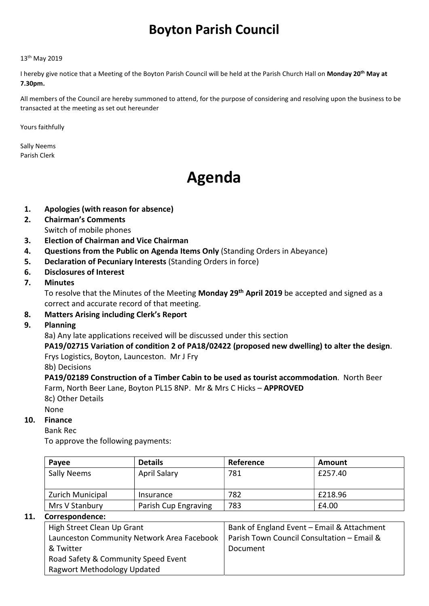## Boyton Parish Council

#### 13th May 2019

I hereby give notice that a Meeting of the Boyton Parish Council will be held at the Parish Church Hall on Monday 20<sup>th</sup> May at 7.30pm.

All members of the Council are hereby summoned to attend, for the purpose of considering and resolving upon the business to be transacted at the meeting as set out hereunder

Yours faithfully

Sally Neems Parish Clerk

# Agenda

- 1. Apologies (with reason for absence)
- 2. Chairman's Comments Switch of mobile phones
- 3. Election of Chairman and Vice Chairman
- 4. Questions from the Public on Agenda Items Only (Standing Orders in Abeyance)
- 5. Declaration of Pecuniary Interests (Standing Orders in force)
- 6. Disclosures of Interest
- 7. Minutes

To resolve that the Minutes of the Meeting Monday 29<sup>th</sup> April 2019 be accepted and signed as a correct and accurate record of that meeting.

- 8. Matters Arising including Clerk's Report
- 9. Planning

8a) Any late applications received will be discussed under this section

PA19/02715 Variation of condition 2 of PA18/02422 (proposed new dwelling) to alter the design. Frys Logistics, Boyton, Launceston. Mr J Fry

8b) Decisions

PA19/02189 Construction of a Timber Cabin to be used as tourist accommodation. North Beer Farm, North Beer Lane, Boyton PL15 8NP. Mr & Mrs C Hicks – APPROVED

8c) Other Details

None

#### 10. Finance

Bank Rec

To approve the following payments:

| Payee                   | <b>Details</b>       | Reference | Amount  |
|-------------------------|----------------------|-----------|---------|
| <b>Sally Neems</b>      | <b>April Salary</b>  | 781       | £257.40 |
| <b>Zurich Municipal</b> | Insurance            | 782       | £218.96 |
| Mrs V Stanbury          | Parish Cup Engraving | 783       | £4.00   |

#### 11. Correspondence:

| High Street Clean Up Grant                 | Bank of England Event - Email & Attachment |  |  |
|--------------------------------------------|--------------------------------------------|--|--|
| Launceston Community Network Area Facebook | Parish Town Council Consultation - Email & |  |  |
| & Twitter                                  | Document                                   |  |  |
| Road Safety & Community Speed Event        |                                            |  |  |
| Ragwort Methodology Updated                |                                            |  |  |